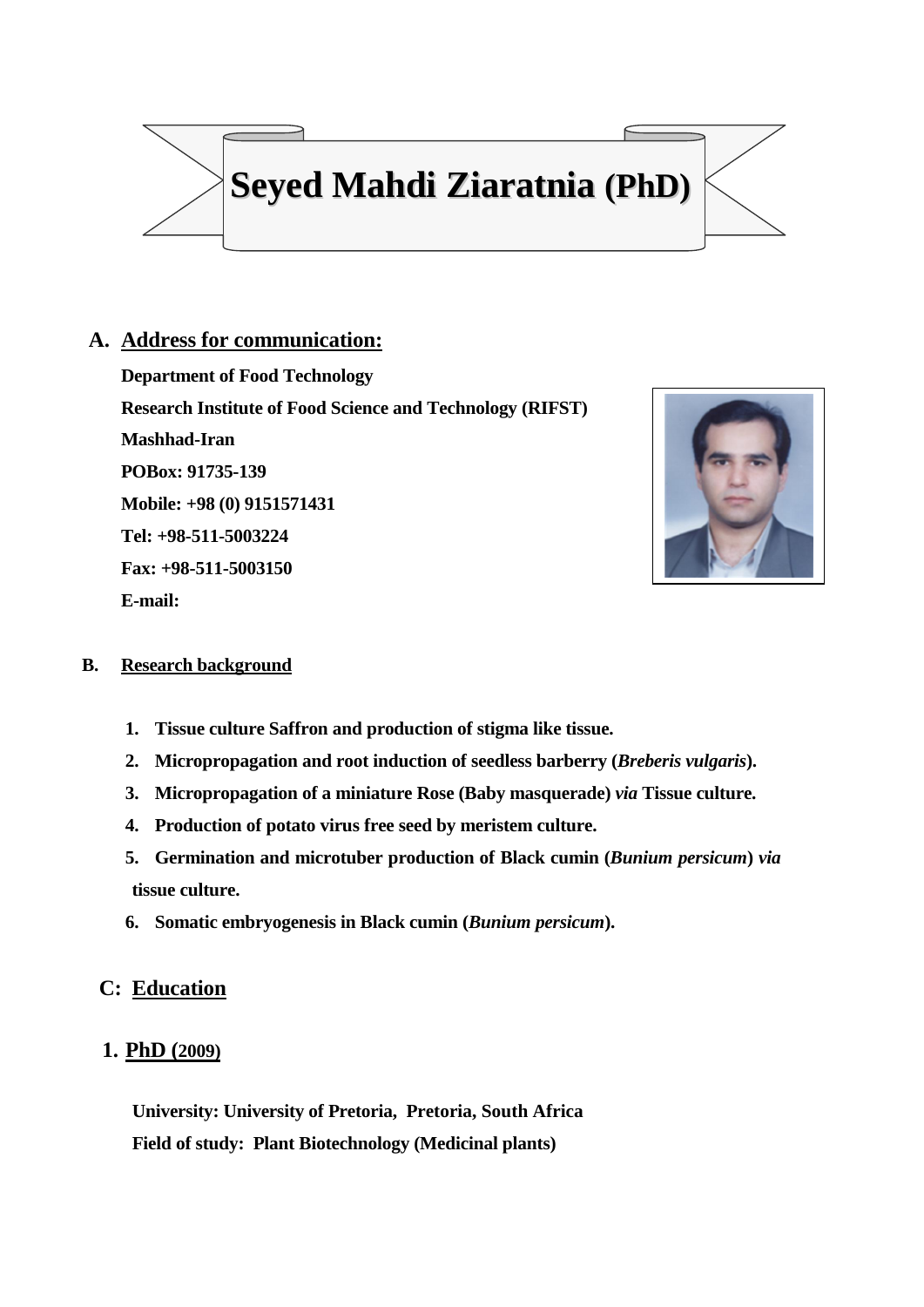

# **A. Address for communication:**

**Department of Food Technology Research Institute of Food Science and Technology (RIFST) Mashhad-Iran POBox: 91735-139 Mobile: +98 (0) 9151571431 Tel: +98-511-5003224 Fax: +98-511-5003150 E-mail:** 



## **B. Research background**

- **1. Tissue culture Saffron and production of stigma like tissue.**
- **2. Micropropagation and root induction of seedless barberry (***Breberis vulgaris***).**
- **3. Micropropagation of a miniature Rose (Baby masquerade)** *via* **Tissue culture.**
- **4. Production of potato virus free seed by meristem culture.**
- **5. Germination and microtuber production of Black cumin (***Bunium persicum***)** *via* **tissue culture.**
- **6. Somatic embryogenesis in Black cumin (***Bunium persicum***).**

# **C: Education**

# **1. PhD (2009)**

**University: University of Pretoria, Pretoria, South Africa Field of study: Plant Biotechnology (Medicinal plants)**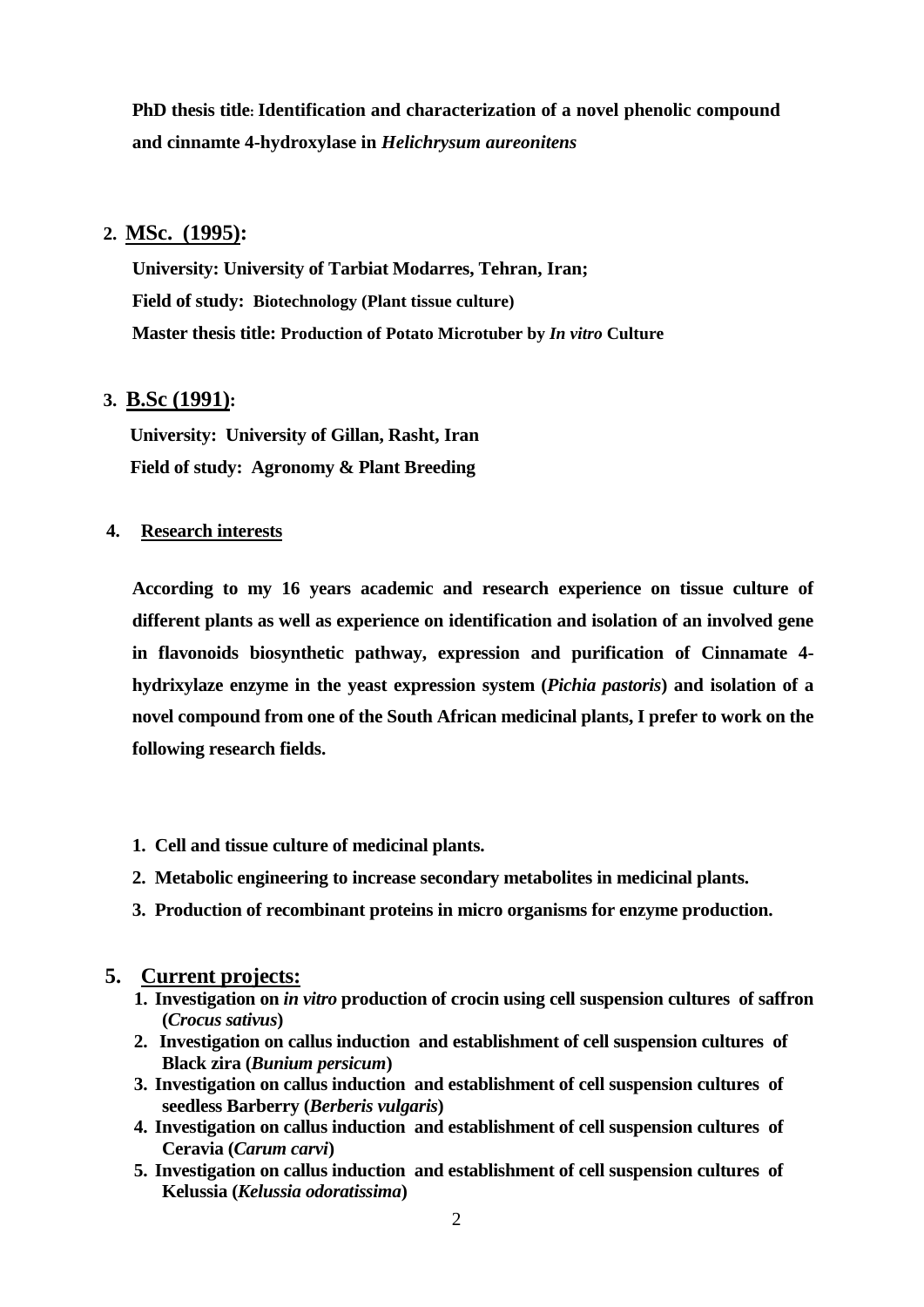**PhD thesis title: Identification and characterization of a novel phenolic compound and cinnamte 4-hydroxylase in** *Helichrysum aureonitens*

## **2. MSc. (1995):**

**University: University of Tarbiat Modarres, Tehran, Iran; Field of study: Biotechnology (Plant tissue culture) Master thesis title: Production of Potato Microtuber by** *In vitro* **Culture**

## **3. B.Sc (1991):**

 **University: University of Gillan, Rasht, Iran Field of study: Agronomy & Plant Breeding**

## **4. Research interests**

**According to my 16 years academic and research experience on tissue culture of different plants as well as experience on identification and isolation of an involved gene in flavonoids biosynthetic pathway, expression and purification of Cinnamate 4 hydrixylaze enzyme in the yeast expression system (***Pichia pastoris***) and isolation of a novel compound from one of the South African medicinal plants, I prefer to work on the following research fields.**

- **1. Cell and tissue culture of medicinal plants.**
- **2. Metabolic engineering to increase secondary metabolites in medicinal plants.**
- **3. Production of recombinant proteins in micro organisms for enzyme production.**

## **5. Current projects:**

- **1. Investigation on** *in vitro* **production of crocin using cell suspension cultures of saffron (***Crocus sativus***)**
- **2. Investigation on callus induction and establishment of cell suspension cultures of Black zira (***Bunium persicum***)**
- **3. Investigation on callus induction and establishment of cell suspension cultures of seedless Barberry (***Berberis vulgaris***)**
- **4. Investigation on callus induction and establishment of cell suspension cultures of Ceravia (***Carum carvi***)**
- **5. Investigation on callus induction and establishment of cell suspension cultures of Kelussia (***Kelussia odoratissima***)**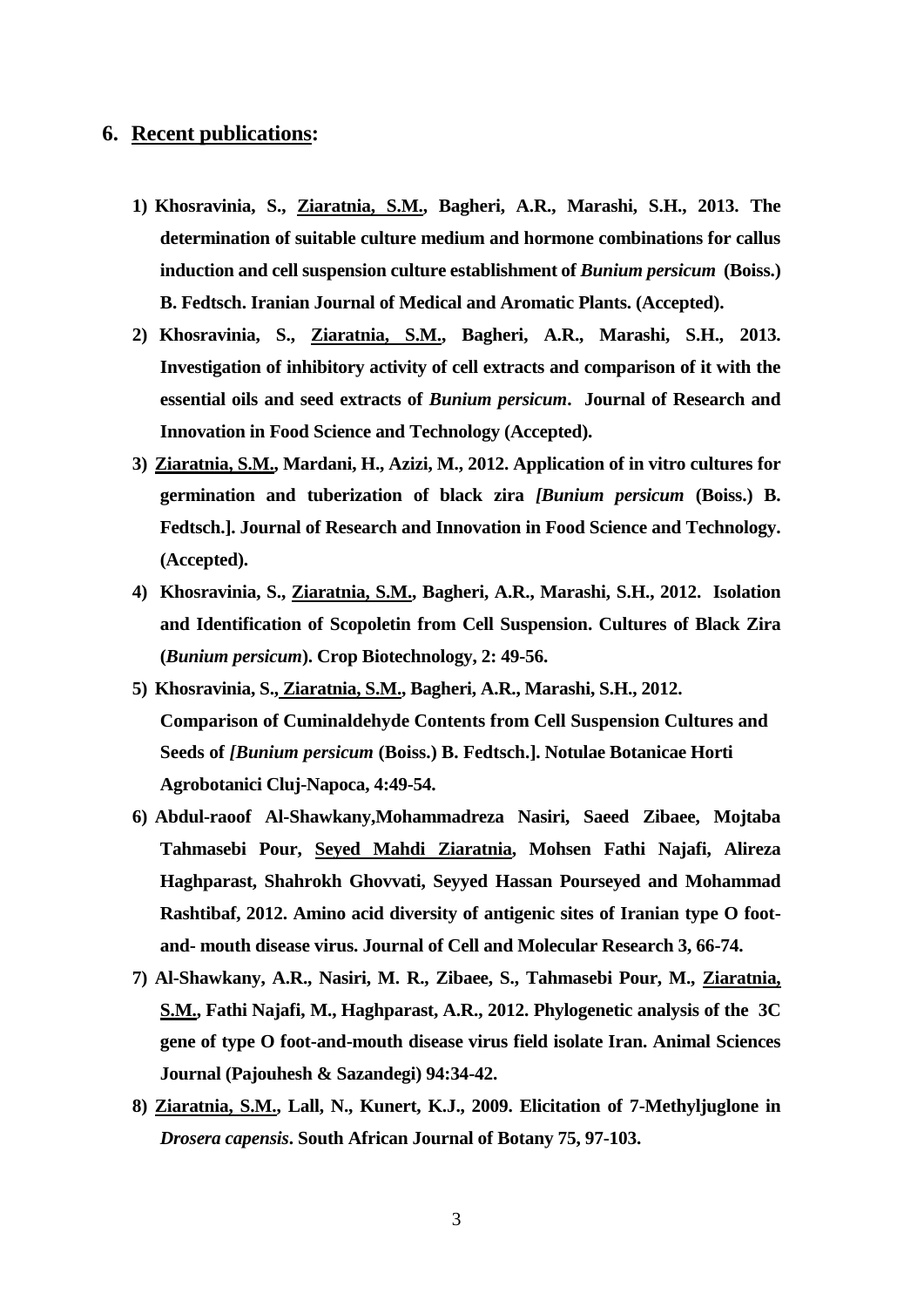## **6. Recent publications:**

- **1) Khosravinia, S., Ziaratnia, S.M., Bagheri, A.R., Marashi, S.H., 2013. The determination of suitable culture medium and hormone combinations for callus induction and cell suspension culture establishment of** *Bunium persicum* **(Boiss.) B. Fedtsch. Iranian Journal of Medical and Aromatic Plants. (Accepted).**
- **2) Khosravinia, S., Ziaratnia, S.M., Bagheri, A.R., Marashi, S.H., 2013. Investigation of inhibitory activity of cell extracts and comparison of it with the essential oils and seed extracts of** *Bunium persicum***. Journal of Research and Innovation in Food Science and Technology (Accepted).**
- **3) Ziaratnia, S.M., Mardani, H., Azizi, M., 2012. Application of in vitro cultures for germination and tuberization of black zira** *[Bunium persicum* **(Boiss.) B. Fedtsch.]. Journal of Research and Innovation in Food Science and Technology. (Accepted).**
- **4) Khosravinia, S., Ziaratnia, S.M., Bagheri, A.R., Marashi, S.H., 2012. Isolation and Identification of Scopoletin from Cell Suspension. Cultures of Black Zira (***Bunium persicum***). Crop Biotechnology, 2: 49-56.**
- **5) Khosravinia, S., Ziaratnia, S.M., Bagheri, A.R., Marashi, S.H., 2012. Comparison of Cuminaldehyde Contents from Cell Suspension Cultures and Seeds of** *[Bunium persicum* **(Boiss.) B. Fedtsch.]. Notulae Botanicae Horti Agrobotanici Cluj-Napoca, 4:49-54.**
- **6) Abdul-raoof Al-Shawkany,Mohammadreza Nasiri, Saeed Zibaee, Mojtaba Tahmasebi Pour, Seyed Mahdi Ziaratnia, Mohsen Fathi Najafi, Alireza Haghparast, Shahrokh Ghovvati, Seyyed Hassan Pourseyed and Mohammad Rashtibaf, 2012. Amino acid diversity of antigenic sites of Iranian type O footand- mouth disease virus. Journal of Cell and Molecular Research 3, 66-74.**
- **7) Al-Shawkany, A.R., Nasiri, M. R., Zibaee, S., Tahmasebi Pour, M., Ziaratnia, S.M., Fathi Najafi, M., Haghparast, A.R., 2012. Phylogenetic analysis of the 3C gene of type O foot-and-mouth disease virus field isolate Iran. Animal Sciences Journal (Pajouhesh & Sazandegi) 94:34-42.**
- **8) Ziaratnia, S.M., Lall, N., Kunert, K.J., 2009. Elicitation of 7-Methyljuglone in**  *Drosera capensis***. South African Journal of Botany 75, 97-103.**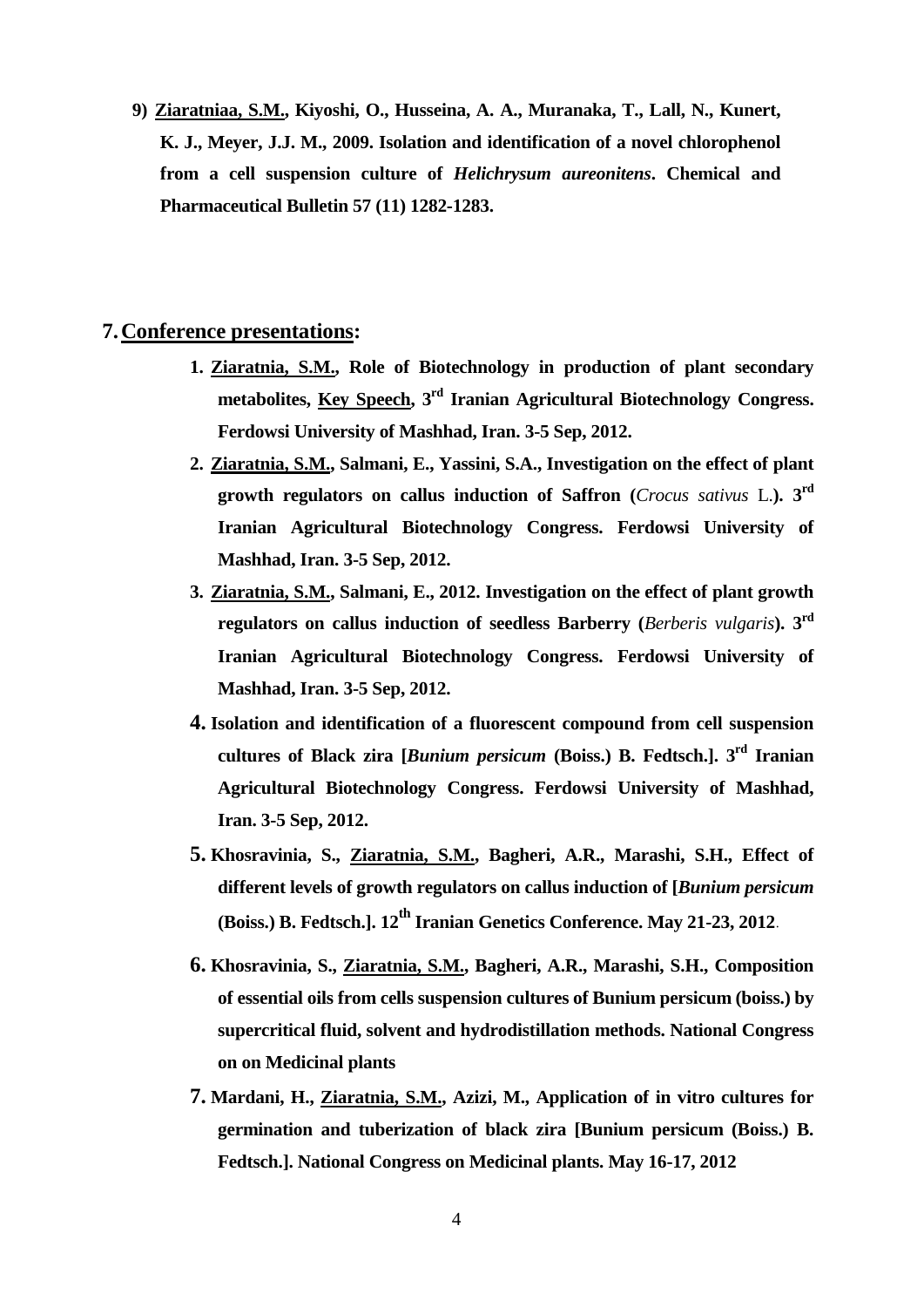**9) Ziaratniaa, S.M., Kiyoshi, O., Husseina, A. A., Muranaka, T., Lall, N., Kunert, K. J., Meyer, J.J. M., 2009. Isolation and identification of a novel chlorophenol from a cell suspension culture of** *Helichrysum aureonitens***. Chemical and Pharmaceutical Bulletin 57 (11) 1282-1283.**

## **7.Conference presentations:**

- **1. Ziaratnia, S.M., Role of Biotechnology in production of plant secondary metabolites, Key Speech, 3 rd Iranian Agricultural Biotechnology Congress. Ferdowsi University of Mashhad, Iran. 3-5 Sep, 2012.**
- **2. Ziaratnia, S.M., Salmani, E., Yassini, S.A., Investigation on the effect of plant growth regulators on callus induction of Saffron (***Crocus sativus* L.**). 3 rd Iranian Agricultural Biotechnology Congress. Ferdowsi University of Mashhad, Iran. 3-5 Sep, 2012.**
- **3. Ziaratnia, S.M., Salmani, E., 2012. Investigation on the effect of plant growth regulators on callus induction of seedless Barberry (***Berberis vulgaris***). 3 rd Iranian Agricultural Biotechnology Congress. Ferdowsi University of Mashhad, Iran. 3-5 Sep, 2012.**
- **4. Isolation and identification of a fluorescent compound from cell suspension cultures of Black zira [***Bunium persicum* **(Boiss.) B. Fedtsch.]. 3 rd Iranian Agricultural Biotechnology Congress. Ferdowsi University of Mashhad, Iran. 3-5 Sep, 2012.**
- **5. Khosravinia, S., Ziaratnia, S.M., Bagheri, A.R., Marashi, S.H., Effect of different levels of growth regulators on callus induction of [***Bunium persicum* **(Boiss.) B. Fedtsch.]. 12th Iranian Genetics Conference. May 21-23, 2012.**
- **6. Khosravinia, S., Ziaratnia, S.M., Bagheri, A.R., Marashi, S.H., Composition of essential oils from cells suspension cultures of Bunium persicum (boiss.) by supercritical fluid, solvent and hydrodistillation methods. National Congress on on Medicinal plants**
- **7. Mardani, H., Ziaratnia, S.M., Azizi, M., Application of in vitro cultures for germination and tuberization of black zira [Bunium persicum (Boiss.) B. Fedtsch.]. National Congress on Medicinal plants. May 16-17, 2012**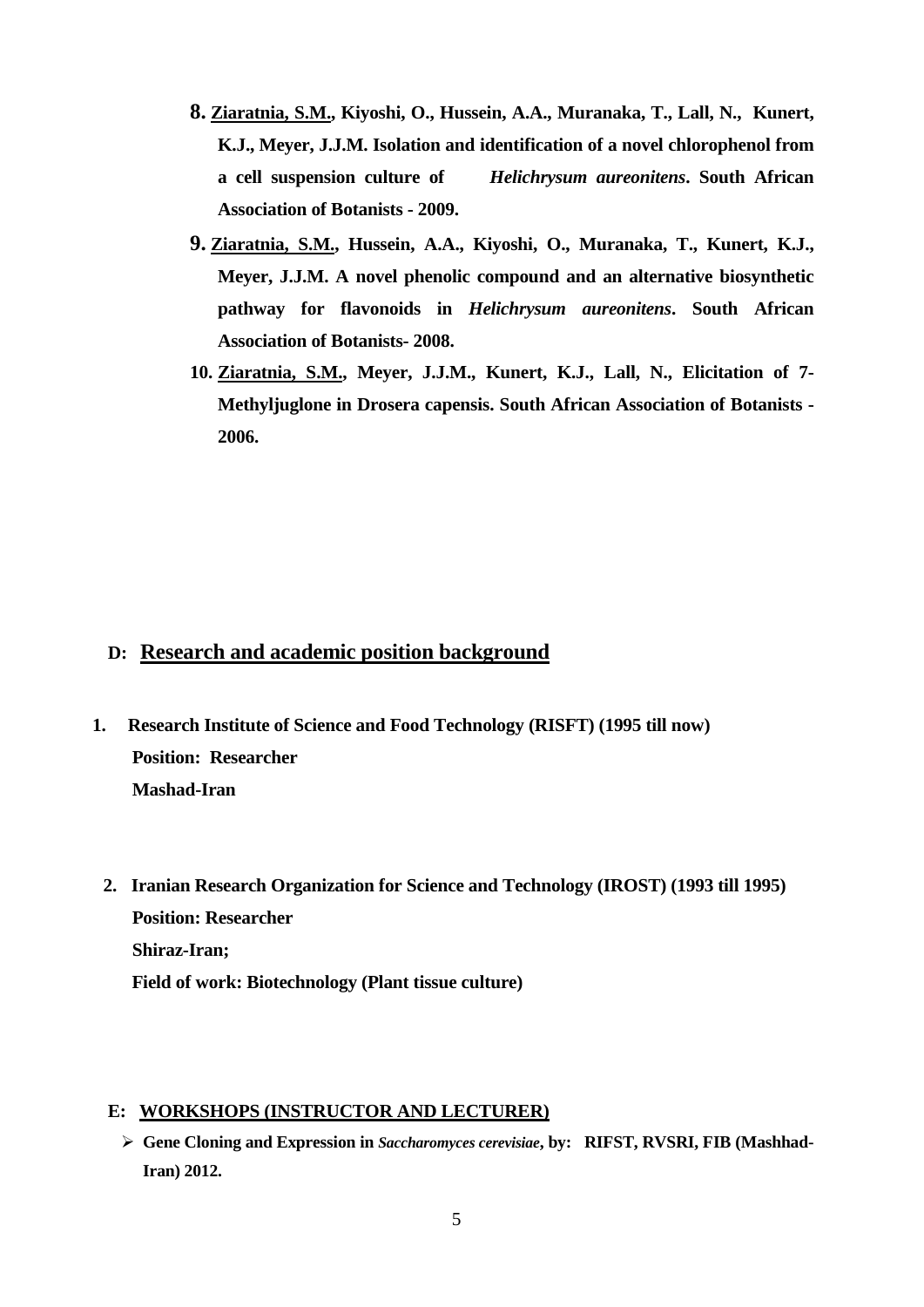- **8. Ziaratnia, S.M., Kiyoshi, O., Hussein, A.A., Muranaka, T., Lall, N., Kunert, K.J., Meyer, J.J.M. Isolation and identification of a novel chlorophenol from a cell suspension culture of** *Helichrysum aureonitens***. South African Association of Botanists - 2009.**
- **9. Ziaratnia, S.M., Hussein, A.A., Kiyoshi, O., Muranaka, T., Kunert, K.J., Meyer, J.J.M. A novel phenolic compound and an alternative biosynthetic pathway for flavonoids in** *Helichrysum aureonitens***. South African Association of Botanists- 2008.**
- **10. Ziaratnia, S.M., Meyer, J.J.M., Kunert, K.J., Lall, N., Elicitation of 7- Methyljuglone in Drosera capensis. South African Association of Botanists - 2006.**

## **D: Research and academic position background**

- **1. Research Institute of Science and Food Technology (RISFT) (1995 till now) Position: Researcher Mashad-Iran** 
	- **2. Iranian Research Organization for Science and Technology (IROST) (1993 till 1995) Position: Researcher Shiraz-Iran; Field of work: Biotechnology (Plant tissue culture)**

#### **E: WORKSHOPS (INSTRUCTOR AND LECTURER)**

 **Gene Cloning and Expression in** *Saccharomyces cerevisiae***, by: RIFST, RVSRI, FIB (Mashhad-Iran) 2012.**